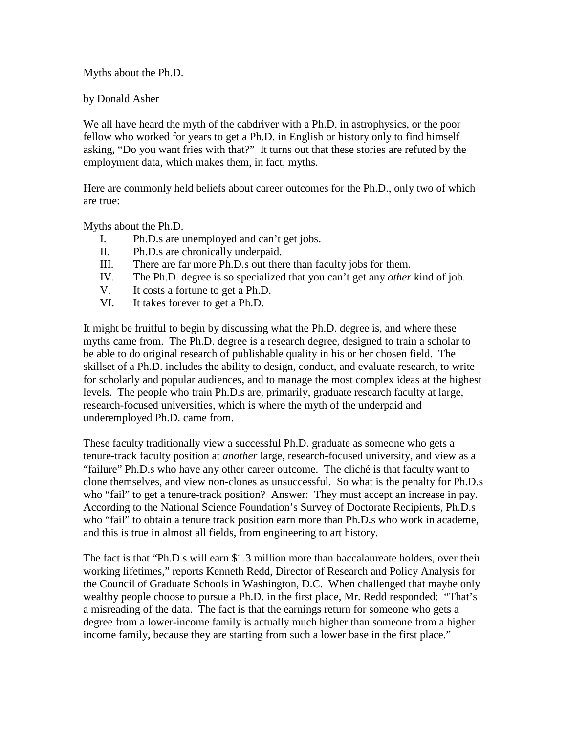Myths about the Ph.D.

by Donald Asher

We all have heard the myth of the cabdriver with a Ph.D. in astrophysics, or the poor fellow who worked for years to get a Ph.D. in English or history only to find himself asking, "Do you want fries with that?" It turns out that these stories are refuted by the employment data, which makes them, in fact, myths.

Here are commonly held beliefs about career outcomes for the Ph.D., only two of which are true:

Myths about the Ph.D.

- I. Ph.D.s are unemployed and can't get jobs.
- II. Ph.D.s are chronically underpaid.
- III. There are far more Ph.D.s out there than faculty jobs for them.
- IV. The Ph.D. degree is so specialized that you can't get any *other* kind of job.
- V. It costs a fortune to get a Ph.D.
- VI. It takes forever to get a Ph.D.

It might be fruitful to begin by discussing what the Ph.D. degree is, and where these myths came from. The Ph.D. degree is a research degree, designed to train a scholar to be able to do original research of publishable quality in his or her chosen field. The skillset of a Ph.D. includes the ability to design, conduct, and evaluate research, to write for scholarly and popular audiences, and to manage the most complex ideas at the highest levels. The people who train Ph.D.s are, primarily, graduate research faculty at large, research-focused universities, which is where the myth of the underpaid and underemployed Ph.D. came from.

These faculty traditionally view a successful Ph.D. graduate as someone who gets a tenure-track faculty position at *another* large, research-focused university, and view as a "failure" Ph.D.s who have any other career outcome. The cliché is that faculty want to clone themselves, and view non-clones as unsuccessful. So what is the penalty for Ph.D.s who "fail" to get a tenure-track position? Answer: They must accept an increase in pay. According to the National Science Foundation's Survey of Doctorate Recipients, Ph.D.s who "fail" to obtain a tenure track position earn more than Ph.D.s who work in academe, and this is true in almost all fields, from engineering to art history.

The fact is that "Ph.D.s will earn \$1.3 million more than baccalaureate holders, over their working lifetimes," reports Kenneth Redd, Director of Research and Policy Analysis for the Council of Graduate Schools in Washington, D.C. When challenged that maybe only wealthy people choose to pursue a Ph.D. in the first place, Mr. Redd responded: "That's a misreading of the data. The fact is that the earnings return for someone who gets a degree from a lower-income family is actually much higher than someone from a higher income family, because they are starting from such a lower base in the first place."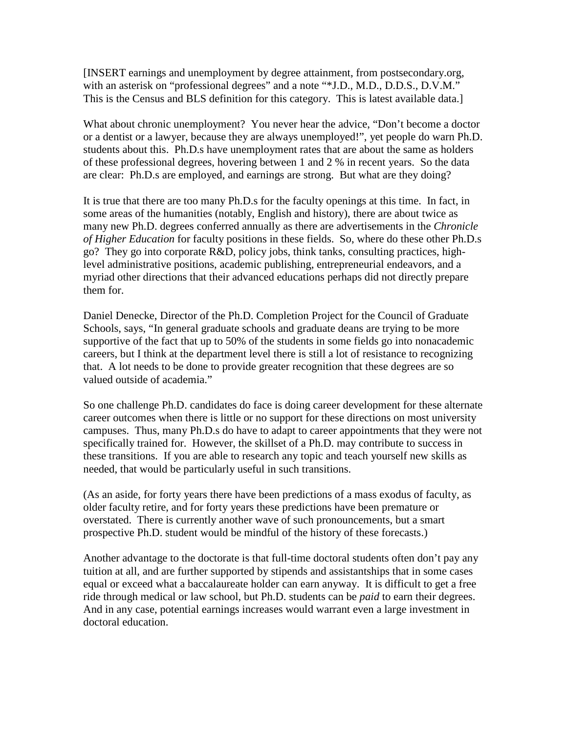[INSERT earnings and unemployment by degree attainment, from postsecondary.org, with an asterisk on "professional degrees" and a note "\*J.D., M.D., D.D.S., D.V.M." This is the Census and BLS definition for this category. This is latest available data.]

What about chronic unemployment? You never hear the advice, "Don't become a doctor or a dentist or a lawyer, because they are always unemployed!", yet people do warn Ph.D. students about this. Ph.D.s have unemployment rates that are about the same as holders of these professional degrees, hovering between 1 and 2 % in recent years. So the data are clear: Ph.D.s are employed, and earnings are strong. But what are they doing?

It is true that there are too many Ph.D.s for the faculty openings at this time. In fact, in some areas of the humanities (notably, English and history), there are about twice as many new Ph.D. degrees conferred annually as there are advertisements in the *Chronicle of Higher Education* for faculty positions in these fields. So, where do these other Ph.D.s go? They go into corporate R&D, policy jobs, think tanks, consulting practices, highlevel administrative positions, academic publishing, entrepreneurial endeavors, and a myriad other directions that their advanced educations perhaps did not directly prepare them for.

Daniel Denecke, Director of the Ph.D. Completion Project for the Council of Graduate Schools, says, "In general graduate schools and graduate deans are trying to be more supportive of the fact that up to 50% of the students in some fields go into nonacademic careers, but I think at the department level there is still a lot of resistance to recognizing that. A lot needs to be done to provide greater recognition that these degrees are so valued outside of academia."

So one challenge Ph.D. candidates do face is doing career development for these alternate career outcomes when there is little or no support for these directions on most university campuses. Thus, many Ph.D.s do have to adapt to career appointments that they were not specifically trained for. However, the skillset of a Ph.D. may contribute to success in these transitions. If you are able to research any topic and teach yourself new skills as needed, that would be particularly useful in such transitions.

(As an aside, for forty years there have been predictions of a mass exodus of faculty, as older faculty retire, and for forty years these predictions have been premature or overstated. There is currently another wave of such pronouncements, but a smart prospective Ph.D. student would be mindful of the history of these forecasts.)

Another advantage to the doctorate is that full-time doctoral students often don't pay any tuition at all, and are further supported by stipends and assistantships that in some cases equal or exceed what a baccalaureate holder can earn anyway. It is difficult to get a free ride through medical or law school, but Ph.D. students can be *paid* to earn their degrees. And in any case, potential earnings increases would warrant even a large investment in doctoral education.